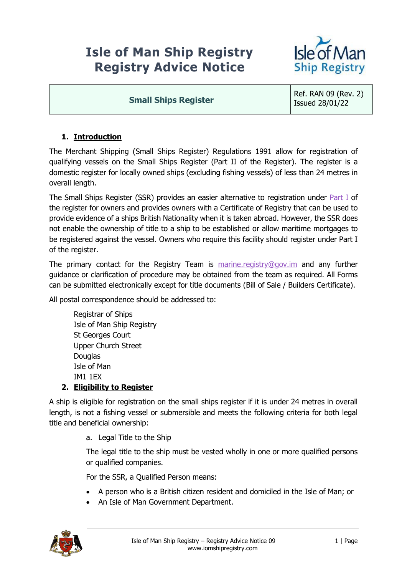# **Isle of Man Ship Registry Registry Advice Notice**



#### **Small Ships Register**

Ref. RAN 09 (Rev. 2) Issued 28/01/22

# **1. Introduction**

The Merchant Shipping (Small Ships Register) Regulations 1991 allow for registration of qualifying vessels on the Small Ships Register (Part II of the Register). The register is a domestic register for locally owned ships (excluding fishing vessels) of less than 24 metres in overall length.

The Small Ships Register (SSR) provides an easier alternative to registration under **Part I** of the register for owners and provides owners with a Certificate of Registry that can be used to provide evidence of a ships British Nationality when it is taken abroad. However, the SSR does not enable the ownership of title to a ship to be established or allow maritime mortgages to be registered against the vessel. Owners who require this facility should register under Part I of the register.

The primary contact for the Registry Team is [marine.registry@gov.im](mailto:marine.registry@gov.im) and any further guidance or clarification of procedure may be obtained from the team as required. All Forms can be submitted electronically except for title documents (Bill of Sale / Builders Certificate).

All postal correspondence should be addressed to:

Registrar of Ships Isle of Man Ship Registry St Georges Court Upper Church Street **Douglas** Isle of Man IM1 1EX

#### **2. Eligibility to Register**

A ship is eligible for registration on the small ships register if it is under 24 metres in overall length, is not a fishing vessel or submersible and meets the following criteria for both legal title and beneficial ownership:

a. Legal Title to the Ship

The legal title to the ship must be vested wholly in one or more qualified persons or qualified companies.

For the SSR, a Qualified Person means:

- A person who is a British citizen resident and domiciled in the Isle of Man; or
- An Isle of Man Government Department.

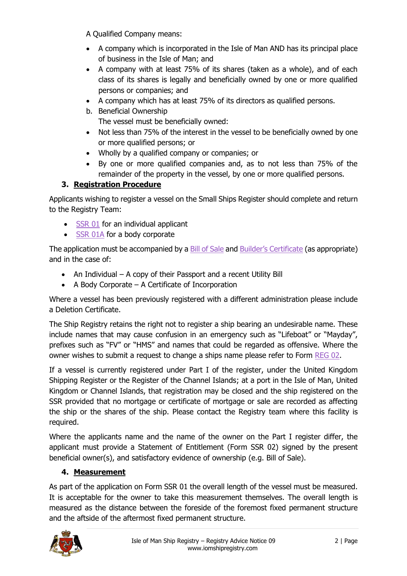A Qualified Company means:

- A company which is incorporated in the Isle of Man AND has its principal place of business in the Isle of Man; and
- A company with at least 75% of its shares (taken as a whole), and of each class of its shares is legally and beneficially owned by one or more qualified persons or companies; and
- A company which has at least 75% of its directors as qualified persons.
- b. Beneficial Ownership The vessel must be beneficially owned:
- Not less than 75% of the interest in the vessel to be beneficially owned by one or more qualified persons; or
- Wholly by a qualified company or companies; or
- By one or more qualified companies and, as to not less than 75% of the remainder of the property in the vessel, by one or more qualified persons.

# **3. Registration Procedure**

Applicants wishing to register a vessel on the Small Ships Register should complete and return to the Registry Team:

- [SSR 01](https://www.iomshipregistry.com/media/1157/ssr-01-application-to-register-a-small-ship-and-re-registration.pdf) for an individual applicant
- [SSR 01A](https://www.iomshipregistry.com/media/1158/ssr-1a-application-by-a-body-corporate-to-register-a-small-ship-and-re-registration.pdf) for a body corporate

The application must be accompanied by a [Bill of Sale](https://www.iomshipregistry.com/media/1908/reg-11-bill-of-sale.pdf) and [Builder's Certificate](https://www.iomshipregistry.com/media/1101/reg-12-builders-certificate.pdf) (as appropriate) and in the case of:

- An Individual A copy of their Passport and a recent Utility Bill
- A Body Corporate A Certificate of Incorporation

Where a vessel has been previously registered with a different administration please include a Deletion Certificate.

The Ship Registry retains the right not to register a ship bearing an undesirable name. These include names that may cause confusion in an emergency such as "Lifeboat" or "Mayday", prefixes such as "FV" or "HMS" and names that could be regarded as offensive. Where the owner wishes to submit a request to change a ships name please refer to Form [REG 02.](https://www.iomshipregistry.com/media/1147/reg-02-application-for-permission-to-change-a-name-of-a-ship.pdf)

If a vessel is currently registered under Part I of the register, under the United Kingdom Shipping Register or the Register of the Channel Islands; at a port in the Isle of Man, United Kingdom or Channel Islands, that registration may be closed and the ship registered on the SSR provided that no mortgage or certificate of mortgage or sale are recorded as affecting the ship or the shares of the ship. Please contact the Registry team where this facility is required.

Where the applicants name and the name of the owner on the Part I register differ, the applicant must provide a Statement of Entitlement (Form SSR 02) signed by the present beneficial owner(s), and satisfactory evidence of ownership (e.g. Bill of Sale).

## **4. Measurement**

As part of the application on Form SSR 01 the overall length of the vessel must be measured. It is acceptable for the owner to take this measurement themselves. The overall length is measured as the distance between the foreside of the foremost fixed permanent structure and the aftside of the aftermost fixed permanent structure.